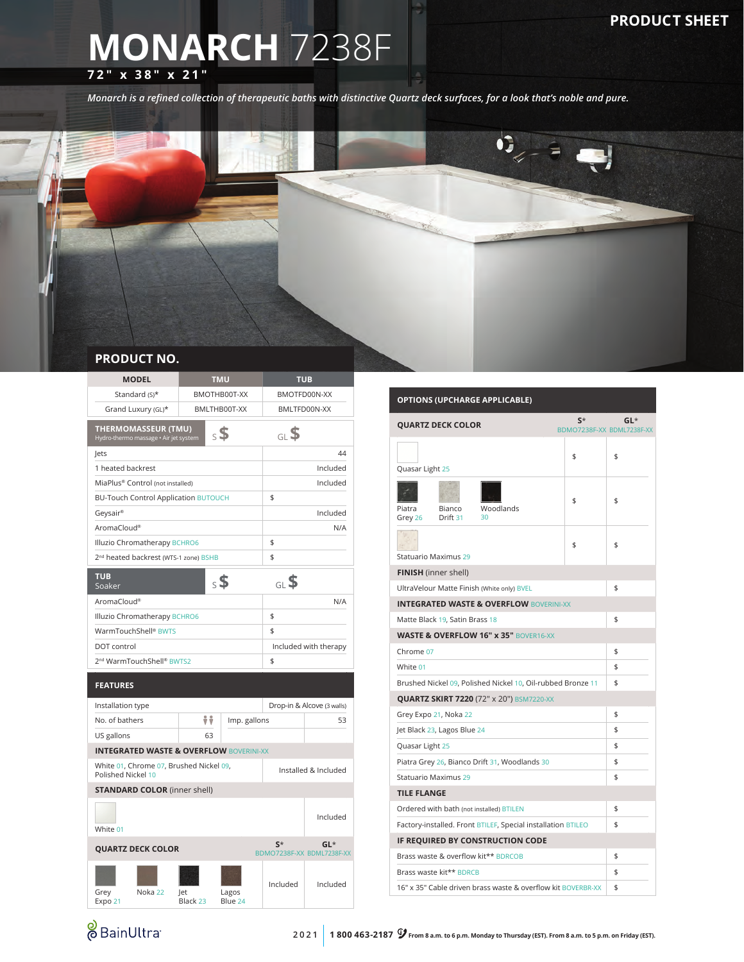## **MONARCH** 7238F **72" x 38" x 21"**

*Monarch is a refined collection of therapeutic baths with distinctive Quartz deck surfaces, for a look that's noble and pure.*



| <b>MODEL</b>                                                                           |                 | <b>TMU</b>                   | TUB                  |                                     |  |  |
|----------------------------------------------------------------------------------------|-----------------|------------------------------|----------------------|-------------------------------------|--|--|
| Standard (S)*                                                                          |                 | BMOTHB00T-XX<br>BMOTFD00N-XX |                      |                                     |  |  |
| Grand Luxury (GL)*                                                                     | BMLTHB00T-XX    |                              | BMLTFD00N-XX         |                                     |  |  |
| <b>THERMOMASSEUR (TMU)</b><br>$\mathsf{s}$ \$<br>Hydro-thermo massage · Air jet system |                 |                              | GLS                  |                                     |  |  |
| lets                                                                                   |                 |                              |                      | 44                                  |  |  |
| 1 heated backrest                                                                      |                 |                              | Included             |                                     |  |  |
| MiaPlus® Control (not installed)                                                       |                 |                              |                      | Included                            |  |  |
| <b>BU-Touch Control Application BUTOUCH</b>                                            |                 |                              | \$                   |                                     |  |  |
| Geysair®                                                                               |                 |                              |                      | Included                            |  |  |
| AromaCloud®                                                                            |                 |                              |                      | N/A                                 |  |  |
| Illuzio Chromatherapy BCHRO6                                                           |                 |                              | \$                   |                                     |  |  |
| 2 <sup>nd</sup> heated backrest (WTS-1 zone) BSHB                                      |                 |                              | \$                   |                                     |  |  |
| <b>TUB</b><br>Soaker                                                                   | $\mathsf{s}$    |                              | <sub>GL</sub> \$     |                                     |  |  |
| AromaCloud®                                                                            |                 |                              |                      | N/A                                 |  |  |
| Illuzio Chromatherapy BCHRO6                                                           |                 |                              | \$                   |                                     |  |  |
| WarmTouchShell® BWTS                                                                   |                 |                              | \$                   |                                     |  |  |
| DOT control                                                                            |                 | Included with therapy        |                      |                                     |  |  |
| 2 <sup>nd</sup> WarmTouchShell® BWTS2                                                  |                 | \$                           |                      |                                     |  |  |
| <b>FEATURES</b>                                                                        |                 |                              |                      |                                     |  |  |
| Installation type                                                                      |                 |                              |                      | Drop-in & Alcove (3 walls)          |  |  |
| No. of bathers                                                                         | ÷÷              | Imp. gallons                 |                      | 53                                  |  |  |
| US gallons                                                                             | 63              |                              |                      |                                     |  |  |
| <b>INTEGRATED WASTE &amp; OVERFLOW BOVERINI-XX</b>                                     |                 |                              |                      |                                     |  |  |
| White 01, Chrome 07, Brushed Nickel 09,<br>Polished Nickel 10                          |                 |                              | Installed & Included |                                     |  |  |
| <b>STANDARD COLOR (inner shell)</b>                                                    |                 |                              |                      |                                     |  |  |
| White 01                                                                               |                 |                              |                      | Included                            |  |  |
| <b>QUARTZ DECK COLOR</b>                                                               |                 |                              | $S^*$                | $GL^*$<br>BDMO7238F-XX BDML7238F-XX |  |  |
| Noka 22<br>Grey<br>Expo 21                                                             | let<br>Black 23 | Lagos<br>Blue 24             | Included             | Included                            |  |  |

## **OPTIONS (UPCHARGE APPLICABLE) QUARTZ DECK COLOR** BDMO7238F-XX BDML7238F-XX **GL**\* Quasar Light 25  $$ \qquad \qquad$ Piatra Grey 26 Bianco Drift 31 Woodlands 30 \$ \$ Statuario Maximus 29  $\frac{1}{2}$ **FINISH** (inner shell) UltraVelour Matte Finish (White only) BVEL \$ **INTEGRATED WASTE & OVERFLOW** BOVERINI-XX Matte Black 19, Satin Brass 18 \$ **WASTE & OVERFLOW 16" x 35"** BOVER16-XX Chrome 07  $\frac{1}{2}$ White  $01$  \$ Brushed Nickel 09, Polished Nickel 10, Oil-rubbed Bronze 11 \$ **QUARTZ SKIRT 7220** (72" x 20") BSM7220-XX Grey Expo 21, Noka 22  $\uparrow$ Jet Black 23, Lagos Blue 24  $\uparrow$ Quasar Light 25 \$ Piatra Grey 26, Bianco Drift 31, Woodlands 30 Statuario Maximus 29 \$ **TILE FLANGE**  Ordered with bath (not installed) BTILEN \$ Factory-installed. Front BTILEF, Special installation BTILEO \$ **IF REQUIRED BY CONSTRUCTION CODE** Brass waste & overflow kit\*\* BDRCOB \$ Brass waste kit\*\* BDRCB \$

**&** BainUltra

16" x 35" Cable driven brass waste & overflow kit BOVERBR-XX \$